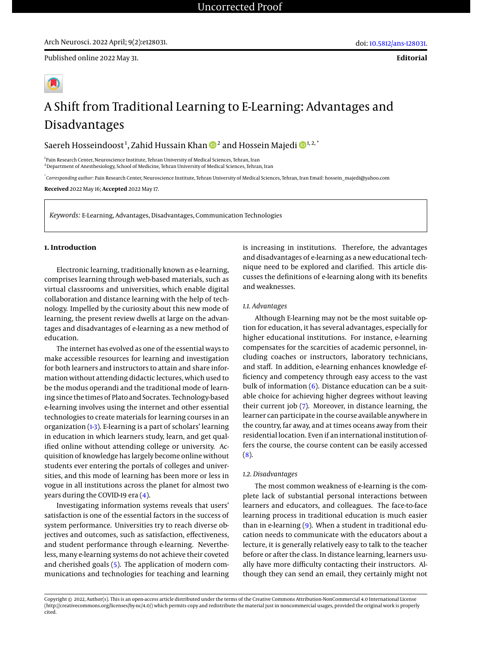**Editorial**

# A Shift from Traditional Learning to E-Learning: Advantages and Disadvantages

Saereh Hosseindoost<sup>1</sup>, Zahid Hussain Khan  $\mathbf{D}^2$  and Hossein Majedi  $\mathbf{D}^{1,2,^\ast}$ 

<sup>1</sup> Pain Research Center, Neuroscience Institute, Tehran University of Medical Sciences, Tehran, Iran <sup>2</sup>Department of Anesthesiology, School of Medicine, Tehran University of Medical Sciences, Tehran, Iran

\* *Corresponding author*: Pain Research Center, Neuroscience Institute, Tehran University of Medical Sciences, Tehran, Iran Email: hossein\_majedi@yahoo.com

**Received** 2022 May 16; **Accepted** 2022 May 17.

*Keywords:* E-Learning, Advantages, Disadvantages, Communication Technologies

#### **1. Introduction**

Electronic learning, traditionally known as e-learning, comprises learning through web-based materials, such as virtual classrooms and universities, which enable digital collaboration and distance learning with the help of technology. Impelled by the curiosity about this new mode of learning, the present review dwells at large on the advantages and disadvantages of e-learning as a new method of education.

The internet has evolved as one of the essential ways to make accessible resources for learning and investigation for both learners and instructors to attain and share information without attending didactic lectures, which used to be the modus operandi and the traditional mode of learning since the times of Plato and Socrates. Technology-based e-learning involves using the internet and other essential technologies to create materials for learning courses in an organization [\(1](#page-1-0)[-3\)](#page-1-1). E-learning is a part of scholars' learning in education in which learners study, learn, and get qualified online without attending college or university. Acquisition of knowledge has largely become online without students ever entering the portals of colleges and universities, and this mode of learning has been more or less in vogue in all institutions across the planet for almost two years during the COVID-19 era [\(4\)](#page-1-2).

Investigating information systems reveals that users' satisfaction is one of the essential factors in the success of system performance. Universities try to reach diverse objectives and outcomes, such as satisfaction, effectiveness, and student performance through e-learning. Nevertheless, many e-learning systems do not achieve their coveted and cherished goals [\(5\)](#page-1-3). The application of modern communications and technologies for teaching and learning

is increasing in institutions. Therefore, the advantages and disadvantages of e-learning as a new educational technique need to be explored and clarified. This article discusses the definitions of e-learning along with its benefits and weaknesses.

## *1.1. Advantages*

Although E-learning may not be the most suitable option for education, it has several advantages, especially for higher educational institutions. For instance, e-learning compensates for the scarcities of academic personnel, including coaches or instructors, laboratory technicians, and staff. In addition, e-learning enhances knowledge efficiency and competency through easy access to the vast bulk of information  $(6)$ . Distance education can be a suitable choice for achieving higher degrees without leaving their current job [\(7\)](#page-2-0). Moreover, in distance learning, the learner can participate in the course available anywhere in the country, far away, and at times oceans away from their residential location. Even if an international institution offers the course, the course content can be easily accessed  $(8).$  $(8).$ 

#### *1.2. Disadvantages*

The most common weakness of e-learning is the complete lack of substantial personal interactions between learners and educators, and colleagues. The face-to-face learning process in traditional education is much easier than in e-learning [\(9\)](#page-2-2). When a student in traditional education needs to communicate with the educators about a lecture, it is generally relatively easy to talk to the teacher before or after the class. In distance learning, learners usually have more difficulty contacting their instructors. Although they can send an email, they certainly might not

Copyright © 2022, Author(s). This is an open-access article distributed under the terms of the Creative Commons Attribution-NonCommercial 4.0 International License (http://creativecommons.org/licenses/by-nc/4.0/) which permits copy and redistribute the material just in noncommercial usages, provided the original work is properly cited.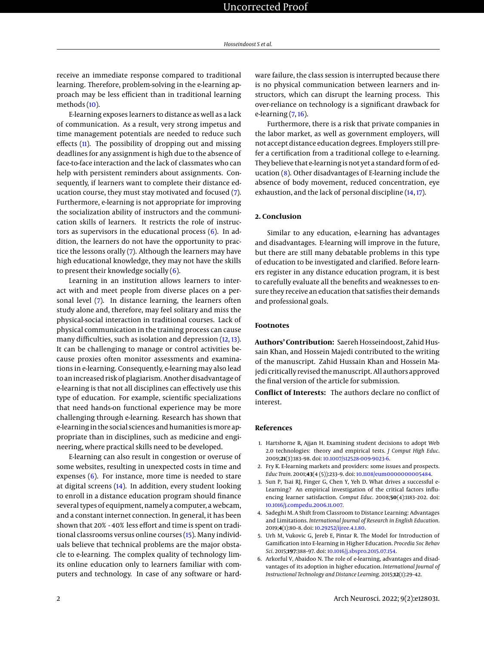receive an immediate response compared to traditional learning. Therefore, problem-solving in the e-learning approach may be less efficient than in traditional learning methods [\(10\)](#page-2-3).

E-learning exposes learners to distance as well as a lack of communication. As a result, very strong impetus and time management potentials are needed to reduce such effects [\(11\)](#page-2-4). The possibility of dropping out and missing deadlines for any assignment is high due to the absence of face-to-face interaction and the lack of classmates who can help with persistent reminders about assignments. Consequently, if learners want to complete their distance education course, they must stay motivated and focused [\(7\)](#page-2-0). Furthermore, e-learning is not appropriate for improving the socialization ability of instructors and the communication skills of learners. It restricts the role of instructors as supervisors in the educational process [\(6\)](#page-1-4). In addition, the learners do not have the opportunity to practice the lessons orally [\(7\)](#page-2-0). Although the learners may have high educational knowledge, they may not have the skills to present their knowledge socially [\(6\)](#page-1-4).

Learning in an institution allows learners to interact with and meet people from diverse places on a personal level [\(7\)](#page-2-0). In distance learning, the learners often study alone and, therefore, may feel solitary and miss the physical-social interaction in traditional courses. Lack of physical communication in the training process can cause many difficulties, such as isolation and depression [\(12,](#page-2-5) [13\)](#page-2-6). It can be challenging to manage or control activities because proxies often monitor assessments and examinations in e-learning. Consequently, e-learning may also lead to an increased risk of plagiarism. Another disadvantage of e-learning is that not all disciplines can effectively use this type of education. For example, scientific specializations that need hands-on functional experience may be more challenging through e-learning. Research has shown that e-learning in the social sciences and humanities is more appropriate than in disciplines, such as medicine and engineering, where practical skills need to be developed.

E-learning can also result in congestion or overuse of some websites, resulting in unexpected costs in time and expenses [\(6\)](#page-1-4). For instance, more time is needed to stare at digital screens [\(14\)](#page-2-7). In addition, every student looking to enroll in a distance education program should finance several types of equipment, namely a computer, a webcam, and a constant internet connection. In general, it has been shown that 20% - 40% less effort and time is spent on traditional classrooms versus online courses [\(15\)](#page-2-8). Many individuals believe that technical problems are the major obstacle to e-learning. The complex quality of technology limits online education only to learners familiar with computers and technology. In case of any software or hardware failure, the class session is interrupted because there is no physical communication between learners and instructors, which can disrupt the learning process. This over-reliance on technology is a significant drawback for e-learning  $(7, 16)$  $(7, 16)$  $(7, 16)$ .

Furthermore, there is a risk that private companies in the labor market, as well as government employers, will not accept distance education degrees. Employers still prefer a certification from a traditional college to e-learning. They believe that e-learning is not yet a standard form of education [\(8\)](#page-2-1). Other disadvantages of E-learning include the absence of body movement, reduced concentration, eye exhaustion, and the lack of personal discipline [\(14,](#page-2-7) [17\)](#page-2-10).

## **2. Conclusion**

Similar to any education, e-learning has advantages and disadvantages. E-learning will improve in the future, but there are still many debatable problems in this type of education to be investigated and clarified. Before learners register in any distance education program, it is best to carefully evaluate all the benefits and weaknesses to ensure they receive an education that satisfies their demands and professional goals.

### **Footnotes**

**Authors' Contribution:** Saereh Hosseindoost, Zahid Hussain Khan, and Hossein Majedi contributed to the writing of the manuscript. Zahid Hussain Khan and Hossein Majedi critically revised themanuscript. All authors approved the final version of the article for submission.

**Conflict of Interests:** The authors declare no conflict of interest.

#### **References**

- <span id="page-1-0"></span>1. Hartshorne R, Ajjan H. Examining student decisions to adopt Web 2.0 technologies: theory and empirical tests. *J Comput High Educ*. 2009;**21**(3):183–98. doi: [10.1007/s12528-009-9023-6.](http://dx.doi.org/10.1007/s12528-009-9023-6)
- 2. Fry K. E-learning markets and providers: some issues and prospects. *Educ Train*. 2001;**43**(4 (5)):233–9. doi: [10.1108/eum0000000005484.](http://dx.doi.org/10.1108/eum0000000005484)
- <span id="page-1-1"></span>3. Sun P, Tsai RJ, Finger G, Chen Y, Yeh D. What drives a successful e-Learning? An empirical investigation of the critical factors influencing learner satisfaction. *Comput Educ*. 2008;**50**(4):1183–202. doi: [10.1016/j.compedu.2006.11.007.](http://dx.doi.org/10.1016/j.compedu.2006.11.007)
- <span id="page-1-2"></span>4. Sadeghi M. A Shift from Classroom to Distance Learning: Advantages and Limitations. *International Journal of Research in English Education*. 2019;**4**(1):80–8. doi: [10.29252/ijree.4.1.80.](http://dx.doi.org/10.29252/ijree.4.1.80)
- <span id="page-1-3"></span>5. Urh M, Vukovic G, Jereb E, Pintar R. The Model for Introduction of Gamification into E-learning in Higher Education. *Procedia Soc Behav Sci*. 2015;**197**:388–97. doi: [10.1016/j.sbspro.2015.07.154.](http://dx.doi.org/10.1016/j.sbspro.2015.07.154)
- <span id="page-1-4"></span>6. Arkorful V, Abaidoo N. The role of e-learning, advantages and disadvantages of its adoption in higher education. *International Journal of Instructional Technology and Distance Learning*. 2015;**12**(1):29–42.